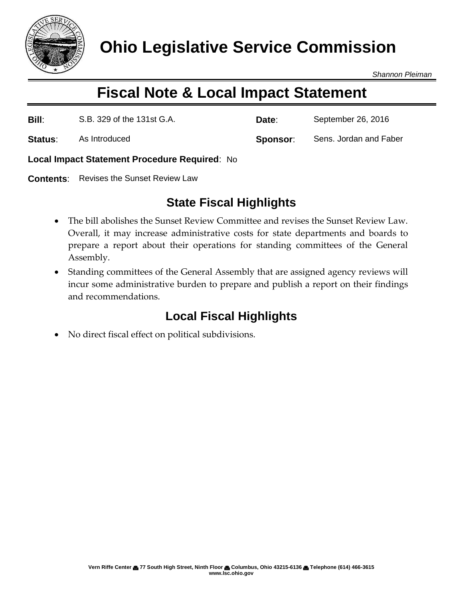

**Ohio Legislative Service Commission**

*Shannon Pleiman*

## **Fiscal Note & Local Impact Statement**

**Bill**: S.B. 329 of the 131st G.A. **Date**: September 26, 2016

**Status:** As Introduced **Sponsor:** Sens. Jordan and Faber

**Local Impact Statement Procedure Required**: No

**Contents**: Revises the Sunset Review Law

## **State Fiscal Highlights**

- The bill abolishes the Sunset Review Committee and revises the Sunset Review Law. Overall, it may increase administrative costs for state departments and boards to prepare a report about their operations for standing committees of the General Assembly.
- Standing committees of the General Assembly that are assigned agency reviews will incur some administrative burden to prepare and publish a report on their findings and recommendations.

## **Local Fiscal Highlights**

No direct fiscal effect on political subdivisions.